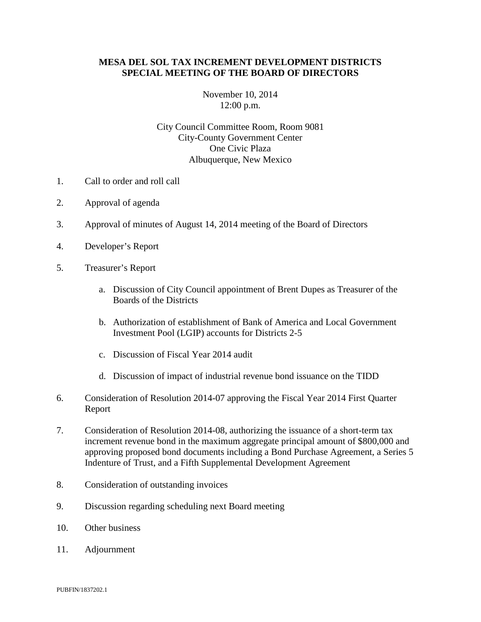## **MESA DEL SOL TAX INCREMENT DEVELOPMENT DISTRICTS SPECIAL MEETING OF THE BOARD OF DIRECTORS**

## November 10, 2014 12:00 p.m.

## City Council Committee Room, Room 9081 City-County Government Center One Civic Plaza Albuquerque, New Mexico

- 1. Call to order and roll call
- 2. Approval of agenda
- 3. Approval of minutes of August 14, 2014 meeting of the Board of Directors
- 4. Developer's Report
- 5. Treasurer's Report
	- a. Discussion of City Council appointment of Brent Dupes as Treasurer of the Boards of the Districts
	- b. Authorization of establishment of Bank of America and Local Government Investment Pool (LGIP) accounts for Districts 2-5
	- c. Discussion of Fiscal Year 2014 audit
	- d. Discussion of impact of industrial revenue bond issuance on the TIDD
- 6. Consideration of Resolution 2014-07 approving the Fiscal Year 2014 First Quarter Report
- 7. Consideration of Resolution 2014-08, authorizing the issuance of a short-term tax increment revenue bond in the maximum aggregate principal amount of \$800,000 and approving proposed bond documents including a Bond Purchase Agreement, a Series 5 Indenture of Trust, and a Fifth Supplemental Development Agreement
- 8. Consideration of outstanding invoices
- 9. Discussion regarding scheduling next Board meeting
- 10. Other business
- 11. Adjournment